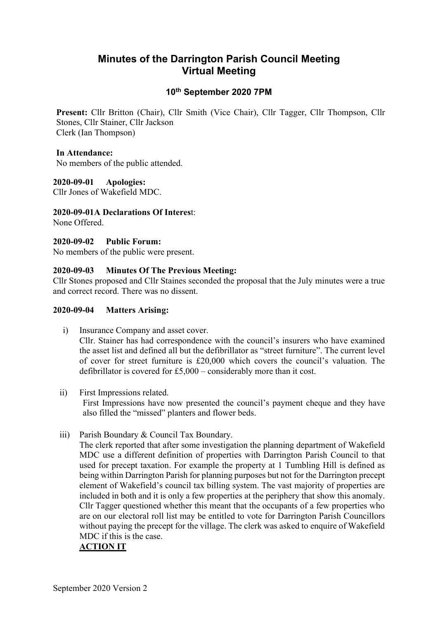# Minutes of the Darrington Parish Council Meeting Virtual Meeting

# 10th September 2020 7PM

Present: Cllr Britton (Chair), Cllr Smith (Vice Chair), Cllr Tagger, Cllr Thompson, Cllr Stones, Cllr Stainer, Cllr Jackson Clerk (Ian Thompson)

#### In Attendance:

No members of the public attended.

#### 2020-09-01 Apologies:

Cllr Jones of Wakefield MDC.

#### 2020-09-01A Declarations Of Interest:

None Offered.

# 2020-09-02 Public Forum:

No members of the public were present.

#### 2020-09-03 Minutes Of The Previous Meeting:

Cllr Stones proposed and Cllr Staines seconded the proposal that the July minutes were a true and correct record. There was no dissent.

#### 2020-09-04 Matters Arising:

- i) Insurance Company and asset cover. Cllr. Stainer has had correspondence with the council's insurers who have examined the asset list and defined all but the defibrillator as "street furniture". The current level of cover for street furniture is £20,000 which covers the council's valuation. The defibrillator is covered for £5,000 – considerably more than it cost.
- ii) First Impressions related.

First Impressions have now presented the council's payment cheque and they have also filled the "missed" planters and flower beds.

iii) Parish Boundary & Council Tax Boundary.

The clerk reported that after some investigation the planning department of Wakefield MDC use a different definition of properties with Darrington Parish Council to that used for precept taxation. For example the property at 1 Tumbling Hill is defined as being within Darrington Parish for planning purposes but not for the Darrington precept element of Wakefield's council tax billing system. The vast majority of properties are included in both and it is only a few properties at the periphery that show this anomaly. Cllr Tagger questioned whether this meant that the occupants of a few properties who are on our electoral roll list may be entitled to vote for Darrington Parish Councillors without paying the precept for the village. The clerk was asked to enquire of Wakefield MDC if this is the case.

# ACTION IT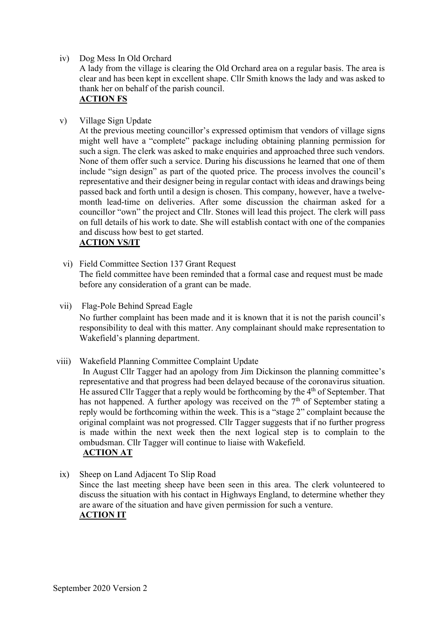iv) Dog Mess In Old Orchard

A lady from the village is clearing the Old Orchard area on a regular basis. The area is clear and has been kept in excellent shape. Cllr Smith knows the lady and was asked to thank her on behalf of the parish council.

# ACTION FS

v) Village Sign Update

At the previous meeting councillor's expressed optimism that vendors of village signs might well have a "complete" package including obtaining planning permission for such a sign. The clerk was asked to make enquiries and approached three such vendors. None of them offer such a service. During his discussions he learned that one of them include "sign design" as part of the quoted price. The process involves the council's representative and their designer being in regular contact with ideas and drawings being passed back and forth until a design is chosen. This company, however, have a twelvemonth lead-time on deliveries. After some discussion the chairman asked for a councillor "own" the project and Cllr. Stones will lead this project. The clerk will pass on full details of his work to date. She will establish contact with one of the companies and discuss how best to get started.

#### ACTION VS/IT

- vi) Field Committee Section 137 Grant Request The field committee have been reminded that a formal case and request must be made before any consideration of a grant can be made.
- vii) Flag-Pole Behind Spread Eagle

No further complaint has been made and it is known that it is not the parish council's responsibility to deal with this matter. Any complainant should make representation to Wakefield's planning department.

viii) Wakefield Planning Committee Complaint Update

In August Cllr Tagger had an apology from Jim Dickinson the planning committee's representative and that progress had been delayed because of the coronavirus situation. He assured Cllr Tagger that a reply would be forthcoming by the  $4<sup>th</sup>$  of September. That has not happened. A further apology was received on the  $7<sup>th</sup>$  of September stating a reply would be forthcoming within the week. This is a "stage 2" complaint because the original complaint was not progressed. Cllr Tagger suggests that if no further progress is made within the next week then the next logical step is to complain to the ombudsman. Cllr Tagger will continue to liaise with Wakefield. ACTION AT

ix) Sheep on Land Adjacent To Slip Road Since the last meeting sheep have been seen in this area. The clerk volunteered to discuss the situation with his contact in Highways England, to determine whether they are aware of the situation and have given permission for such a venture. ACTION IT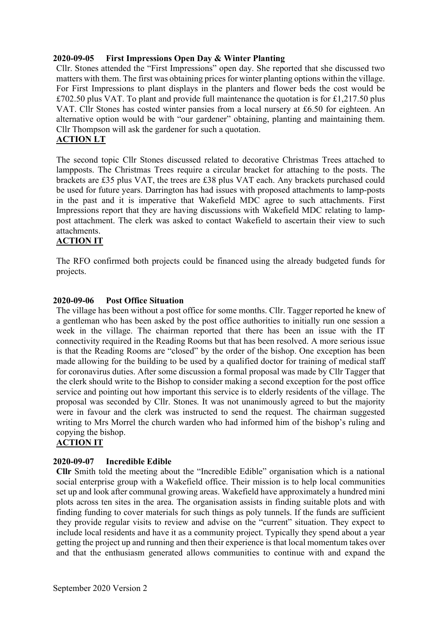# 2020-09-05 First Impressions Open Day & Winter Planting

Cllr. Stones attended the "First Impressions" open day. She reported that she discussed two matters with them. The first was obtaining prices for winter planting options within the village. For First Impressions to plant displays in the planters and flower beds the cost would be £702.50 plus VAT. To plant and provide full maintenance the quotation is for £1,217.50 plus VAT. Cllr Stones has costed winter pansies from a local nursery at £6.50 for eighteen. An alternative option would be with "our gardener" obtaining, planting and maintaining them. Cllr Thompson will ask the gardener for such a quotation.

# ACTION LT

The second topic Cllr Stones discussed related to decorative Christmas Trees attached to lampposts. The Christmas Trees require a circular bracket for attaching to the posts. The brackets are £35 plus VAT, the trees are £38 plus VAT each. Any brackets purchased could be used for future years. Darrington has had issues with proposed attachments to lamp-posts in the past and it is imperative that Wakefield MDC agree to such attachments. First Impressions report that they are having discussions with Wakefield MDC relating to lamppost attachment. The clerk was asked to contact Wakefield to ascertain their view to such attachments.

# ACTION IT

The RFO confirmed both projects could be financed using the already budgeted funds for projects.

#### 2020-09-06 Post Office Situation

The village has been without a post office for some months. Cllr. Tagger reported he knew of a gentleman who has been asked by the post office authorities to initially run one session a week in the village. The chairman reported that there has been an issue with the IT connectivity required in the Reading Rooms but that has been resolved. A more serious issue is that the Reading Rooms are "closed" by the order of the bishop. One exception has been made allowing for the building to be used by a qualified doctor for training of medical staff for coronavirus duties. After some discussion a formal proposal was made by Cllr Tagger that the clerk should write to the Bishop to consider making a second exception for the post office service and pointing out how important this service is to elderly residents of the village. The proposal was seconded by Cllr. Stones. It was not unanimously agreed to but the majority were in favour and the clerk was instructed to send the request. The chairman suggested writing to Mrs Morrel the church warden who had informed him of the bishop's ruling and copying the bishop.

# ACTION IT

# 2020-09-07 Incredible Edible

Cllr Smith told the meeting about the "Incredible Edible" organisation which is a national social enterprise group with a Wakefield office. Their mission is to help local communities set up and look after communal growing areas. Wakefield have approximately a hundred mini plots across ten sites in the area. The organisation assists in finding suitable plots and with finding funding to cover materials for such things as poly tunnels. If the funds are sufficient they provide regular visits to review and advise on the "current" situation. They expect to include local residents and have it as a community project. Typically they spend about a year getting the project up and running and then their experience is that local momentum takes over and that the enthusiasm generated allows communities to continue with and expand the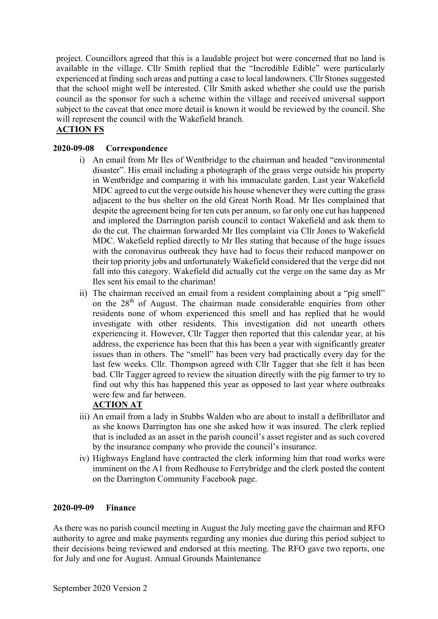project. Councillors agreed that this is a laudable project but were concerned that no land is available in the village. Cllr Smith replied that the "Incredible Edible" were particularly experienced at finding such areas and putting a case to local landowners. Cllr Stones suggested that the school might well be interested. Cllr Smith asked whether she could use the parish council as the sponsor for such a scheme within the village and received universal support subject to the caveat that once more detail is known it would be reviewed by the council. She will represent the council with the Wakefield branch.

# ACTION FS

# 2020-09-08 Correspondence

- i) An email from Mr Iles of Wentbridge to the chairman and headed "environmental disaster". His email including a photograph of the grass verge outside his property in Wentbridge and comparing it with his immaculate garden. Last year Wakefield MDC agreed to cut the verge outside his house whenever they were cutting the grass adjacent to the bus shelter on the old Great North Road. Mr Iles complained that despite the agreement being for ten cuts per annum, so far only one cut has happened and implored the Darrington parish council to contact Wakefield and ask them to do the cut. The chairman forwarded Mr Iles complaint via Cllr Jones to Wakefield MDC. Wakefield replied directly to Mr Iles stating that because of the huge issues with the coronavirus outbreak they have had to focus their reduced manpower on their top priority jobs and unfortunately Wakefield considered that the verge did not fall into this category. Wakefield did actually cut the verge on the same day as Mr Iles sent his email to the chariman!
- ii) The chairman received an email from a resident complaining about a "pig smell" on the 28<sup>th</sup> of August. The chairman made considerable enquiries from other residents none of whom experienced this smell and has replied that he would investigate with other residents. This investigation did not unearth others experiencing it. However, Cllr Tagger then reported that this calendar year, at his address, the experience has been that this has been a year with significantly greater issues than in others. The "smell" has been very bad practically every day for the last few weeks. Cllr. Thompson agreed with Cllr Tagger that she felt it has been bad. Cllr Tagger agreed to review the situation directly with the pig farmer to try to find out why this has happened this year as opposed to last year where outbreaks were few and far between.

# ACTION AT

- iii) An email from a lady in Stubbs Walden who are about to install a defibrillator and as she knows Darrington has one she asked how it was insured. The clerk replied that is included as an asset in the parish council's asset register and as such covered by the insurance company who provide the council's insurance.
- iv) Highways England have contracted the clerk informing him that road works were imminent on the A1 from Redhouse to Ferrybridge and the clerk posted the content on the Darrington Community Facebook page.

#### 2020-09-09 Finance

As there was no parish council meeting in August the July meeting gave the chairman and RFO authority to agree and make payments regarding any monies due during this period subject to their decisions being reviewed and endorsed at this meeting. The RFO gave two reports, one for July and one for August. Annual Grounds Maintenance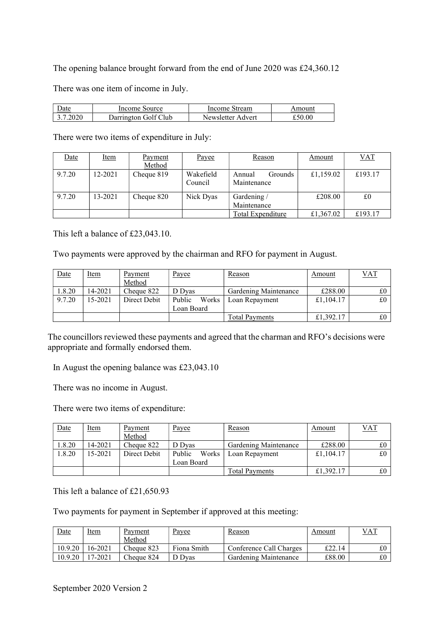The opening balance brought forward from the end of June 2020 was £24,360.12

There was one item of income in July.

| Jate      | Income Source        | Income Stream     | Amount |
|-----------|----------------------|-------------------|--------|
| -3 7 2020 | Darrington Golf Club | Newsletter Advert | £50.00 |

There were two items of expenditure in July:

| Date   | <u>Item</u> | Payment<br>Method | Payee                | Reason                                  | <u>Amount</u> | <u>VAT</u> |
|--------|-------------|-------------------|----------------------|-----------------------------------------|---------------|------------|
| 9.7.20 | 12-2021     | Cheque 819        | Wakefield<br>Council | <b>Grounds</b><br>Annual<br>Maintenance | £1,159.02     | £193.17    |
| 9.7.20 | 13-2021     | Cheque 820        | Nick Dyas            | Gardening /<br>Maintenance              | £208.00       | £0         |
|        |             |                   |                      | Total Expenditure                       | £1,367.02     | £193.17    |

This left a balance of £23,043.10.

Two payments were approved by the chairman and RFO for payment in August.

| Date   | Item        | Payment<br>Method | <u>Payee</u>    | Reason                | Amount    | VAT |
|--------|-------------|-------------------|-----------------|-----------------------|-----------|-----|
| 1.8.20 | 14-2021     | Cheque 822        | D Dyas          | Gardening Maintenance | £288.00   |     |
| 9.7.20 | $15 - 2021$ | Direct Debit      | Public<br>Works | Loan Repayment        | £1,104.17 | £0  |
|        |             |                   | Loan Board      |                       |           |     |
|        |             |                   |                 | Total Pavments        | £1,392.17 |     |

The councillors reviewed these payments and agreed that the charman and RFO's decisions were appropriate and formally endorsed them.

In August the opening balance was £23,043.10

There was no income in August.

There were two items of expenditure:

| Date   | Item        | Payment<br>Method | Payee           | Reason                | Amount    | VAT |
|--------|-------------|-------------------|-----------------|-----------------------|-----------|-----|
| 1.8.20 | 14-2021     | Cheque 822        | D Dyas          | Gardening Maintenance | £288.00   | £0  |
| 1.8.20 | $15 - 2021$ | Direct Debit      | Public<br>Works | Loan Repayment        | £1,104.17 | £0  |
|        |             |                   | Loan Board      |                       |           |     |
|        |             |                   |                 | Total Pavments        | £1,392.17 | £0  |

This left a balance of £21,650.93

Two payments for payment in September if approved at this meeting:

| Date    | Item    | Payment<br>Method | Payee       | Reason                  | Amount | $VA$          |
|---------|---------|-------------------|-------------|-------------------------|--------|---------------|
| 10.9.20 | 16-2021 | Cheque 823        | Fiona Smith | Conference Call Charges | £22.14 | $_{\pounds0}$ |
| 10.9.20 | 17-2021 | Cheque 824        | Dvas        | Gardening Maintenance   | £88.00 | £0            |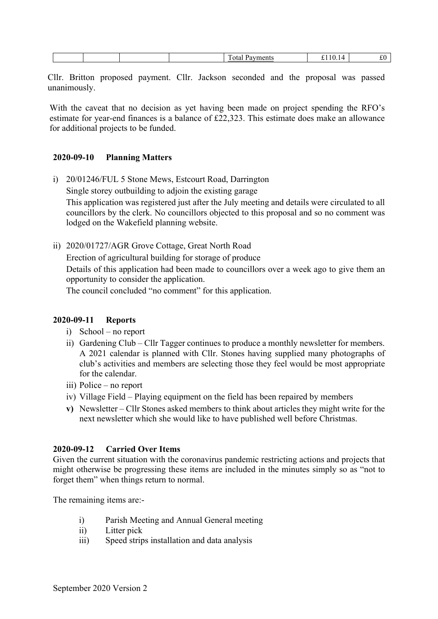|--|

Cllr. Britton proposed payment. Cllr. Jackson seconded and the proposal was passed unanimously.

With the caveat that no decision as yet having been made on project spending the RFO's estimate for year-end finances is a balance of £22,323. This estimate does make an allowance for additional projects to be funded.

#### 2020-09-10 Planning Matters

- i) 20/01246/FUL 5 Stone Mews, Estcourt Road, Darrington Single storey outbuilding to adjoin the existing garage This application was registered just after the July meeting and details were circulated to all councillors by the clerk. No councillors objected to this proposal and so no comment was lodged on the Wakefield planning website.
- ii) 2020/01727/AGR Grove Cottage, Great North Road Erection of agricultural building for storage of produce Details of this application had been made to councillors over a week ago to give them an opportunity to consider the application. The council concluded "no comment" for this application.

#### 2020-09-11 Reports

- i) School no report
- ii) Gardening Club Cllr Tagger continues to produce a monthly newsletter for members. A 2021 calendar is planned with Cllr. Stones having supplied many photographs of club's activities and members are selecting those they feel would be most appropriate for the calendar.
- iii) Police no report
- iv) Village Field Playing equipment on the field has been repaired by members
- v) Newsletter Cllr Stones asked members to think about articles they might write for the next newsletter which she would like to have published well before Christmas.

# 2020-09-12 Carried Over Items

Given the current situation with the coronavirus pandemic restricting actions and projects that might otherwise be progressing these items are included in the minutes simply so as "not to forget them" when things return to normal.

The remaining items are:-

- i) Parish Meeting and Annual General meeting
- ii) Litter pick
- iii) Speed strips installation and data analysis